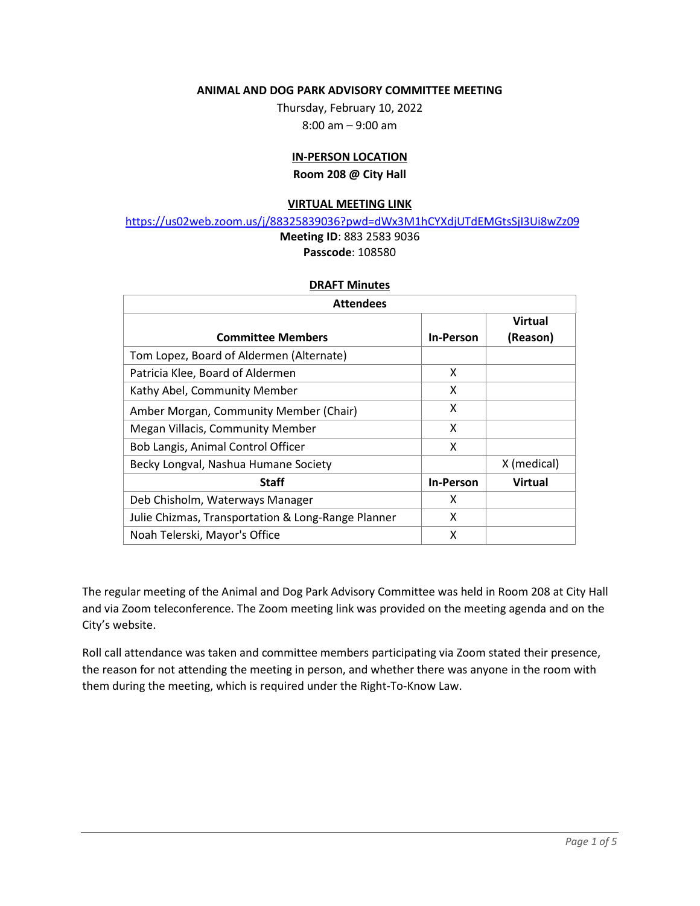#### **ANIMAL AND DOG PARK ADVISORY COMMITTEE MEETING**

Thursday, February 10, 2022 8:00 am – 9:00 am

# **IN-PERSON LOCATION**

**Room 208 @ City Hall**

#### **VIRTUAL MEETING LINK**

<https://us02web.zoom.us/j/88325839036?pwd=dWx3M1hCYXdjUTdEMGtsSjI3Ui8wZz09>

## **Meeting ID**: 883 2583 9036 **Passcode**: 108580

#### **DRAFT Minutes**

| <b>Attendees</b>                                   |                  |                |  |  |  |  |  |  |  |
|----------------------------------------------------|------------------|----------------|--|--|--|--|--|--|--|
|                                                    |                  | <b>Virtual</b> |  |  |  |  |  |  |  |
| <b>Committee Members</b>                           | <b>In-Person</b> | (Reason)       |  |  |  |  |  |  |  |
| Tom Lopez, Board of Aldermen (Alternate)           |                  |                |  |  |  |  |  |  |  |
| Patricia Klee, Board of Aldermen                   | x                |                |  |  |  |  |  |  |  |
| Kathy Abel, Community Member                       | x                |                |  |  |  |  |  |  |  |
| Amber Morgan, Community Member (Chair)             | x                |                |  |  |  |  |  |  |  |
| Megan Villacis, Community Member                   | x                |                |  |  |  |  |  |  |  |
| Bob Langis, Animal Control Officer                 | X                |                |  |  |  |  |  |  |  |
| Becky Longval, Nashua Humane Society               |                  | X (medical)    |  |  |  |  |  |  |  |
| <b>Staff</b>                                       | <b>In-Person</b> | <b>Virtual</b> |  |  |  |  |  |  |  |
| Deb Chisholm, Waterways Manager                    | x                |                |  |  |  |  |  |  |  |
| Julie Chizmas, Transportation & Long-Range Planner | x                |                |  |  |  |  |  |  |  |
| Noah Telerski, Mayor's Office                      | x                |                |  |  |  |  |  |  |  |

The regular meeting of the Animal and Dog Park Advisory Committee was held in Room 208 at City Hall and via Zoom teleconference. The Zoom meeting link was provided on the meeting agenda and on the City's website.

Roll call attendance was taken and committee members participating via Zoom stated their presence, the reason for not attending the meeting in person, and whether there was anyone in the room with them during the meeting, which is required under the Right-To-Know Law.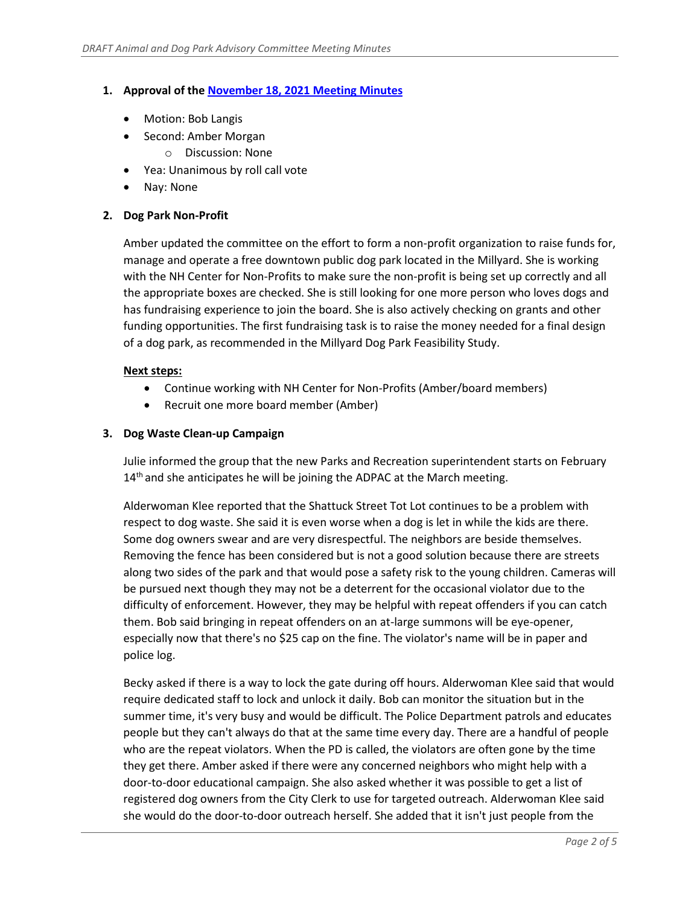# **1. Approval of th[e November 18, 2021 Meeting Minutes](https://www.nashuanh.gov/AgendaCenter/ViewFile/Minutes/_11182021-5746)**

- Motion: Bob Langis
- Second: Amber Morgan
	- o Discussion: None
- Yea: Unanimous by roll call vote
- Nay: None

# **2. Dog Park Non-Profit**

Amber updated the committee on the effort to form a non-profit organization to raise funds for, manage and operate a free downtown public dog park located in the Millyard. She is working with the NH Center for Non-Profits to make sure the non-profit is being set up correctly and all the appropriate boxes are checked. She is still looking for one more person who loves dogs and has fundraising experience to join the board. She is also actively checking on grants and other funding opportunities. The first fundraising task is to raise the money needed for a final design of a dog park, as recommended in the Millyard Dog Park Feasibility Study.

## **Next steps:**

- Continue working with NH Center for Non-Profits (Amber/board members)
- Recruit one more board member (Amber)

## **3. Dog Waste Clean-up Campaign**

Julie informed the group that the new Parks and Recreation superintendent starts on February 14<sup>th</sup> and she anticipates he will be joining the ADPAC at the March meeting.

Alderwoman Klee reported that the Shattuck Street Tot Lot continues to be a problem with respect to dog waste. She said it is even worse when a dog is let in while the kids are there. Some dog owners swear and are very disrespectful. The neighbors are beside themselves. Removing the fence has been considered but is not a good solution because there are streets along two sides of the park and that would pose a safety risk to the young children. Cameras will be pursued next though they may not be a deterrent for the occasional violator due to the difficulty of enforcement. However, they may be helpful with repeat offenders if you can catch them. Bob said bringing in repeat offenders on an at-large summons will be eye-opener, especially now that there's no \$25 cap on the fine. The violator's name will be in paper and police log.

Becky asked if there is a way to lock the gate during off hours. Alderwoman Klee said that would require dedicated staff to lock and unlock it daily. Bob can monitor the situation but in the summer time, it's very busy and would be difficult. The Police Department patrols and educates people but they can't always do that at the same time every day. There are a handful of people who are the repeat violators. When the PD is called, the violators are often gone by the time they get there. Amber asked if there were any concerned neighbors who might help with a door-to-door educational campaign. She also asked whether it was possible to get a list of registered dog owners from the City Clerk to use for targeted outreach. Alderwoman Klee said she would do the door-to-door outreach herself. She added that it isn't just people from the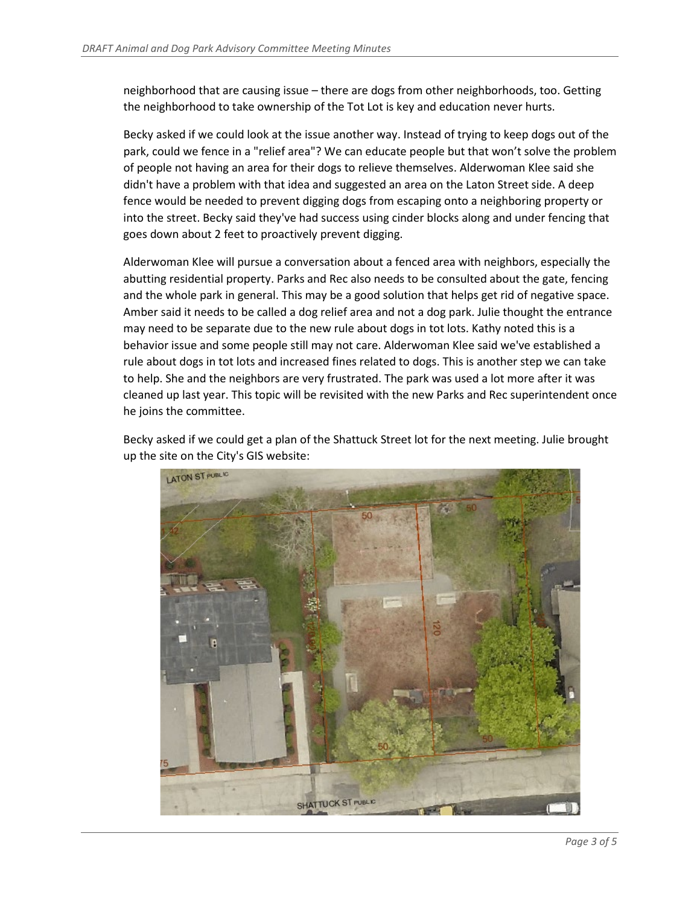neighborhood that are causing issue – there are dogs from other neighborhoods, too. Getting the neighborhood to take ownership of the Tot Lot is key and education never hurts.

Becky asked if we could look at the issue another way. Instead of trying to keep dogs out of the park, could we fence in a "relief area"? We can educate people but that won't solve the problem of people not having an area for their dogs to relieve themselves. Alderwoman Klee said she didn't have a problem with that idea and suggested an area on the Laton Street side. A deep fence would be needed to prevent digging dogs from escaping onto a neighboring property or into the street. Becky said they've had success using cinder blocks along and under fencing that goes down about 2 feet to proactively prevent digging.

Alderwoman Klee will pursue a conversation about a fenced area with neighbors, especially the abutting residential property. Parks and Rec also needs to be consulted about the gate, fencing and the whole park in general. This may be a good solution that helps get rid of negative space. Amber said it needs to be called a dog relief area and not a dog park. Julie thought the entrance may need to be separate due to the new rule about dogs in tot lots. Kathy noted this is a behavior issue and some people still may not care. Alderwoman Klee said we've established a rule about dogs in tot lots and increased fines related to dogs. This is another step we can take to help. She and the neighbors are very frustrated. The park was used a lot more after it was cleaned up last year. This topic will be revisited with the new Parks and Rec superintendent once he joins the committee.

Becky asked if we could get a plan of the Shattuck Street lot for the next meeting. Julie brought up the site on the City's GIS website:

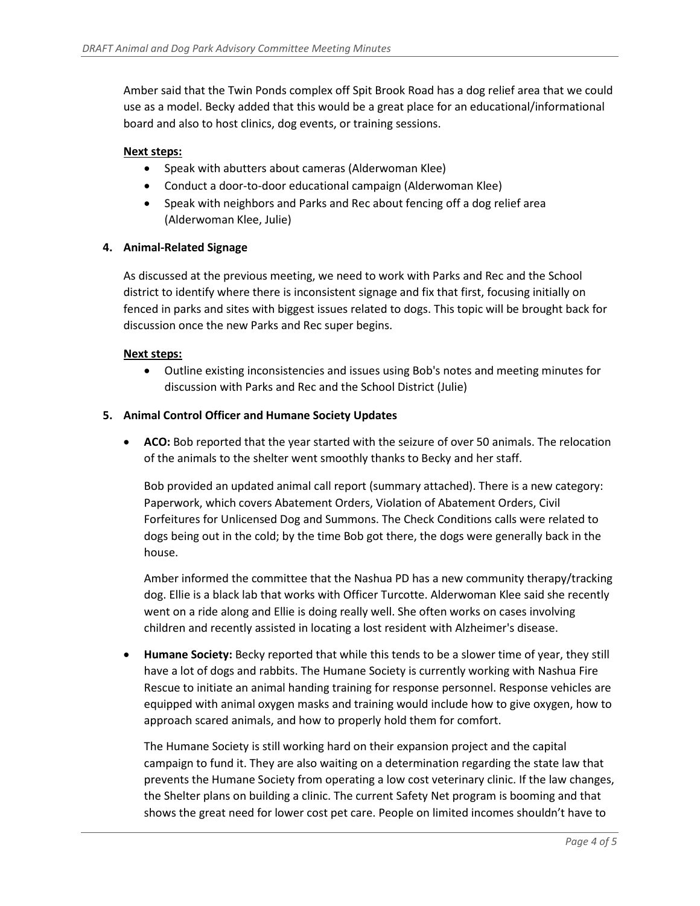Amber said that the Twin Ponds complex off Spit Brook Road has a dog relief area that we could use as a model. Becky added that this would be a great place for an educational/informational board and also to host clinics, dog events, or training sessions.

# **Next steps:**

- Speak with abutters about cameras (Alderwoman Klee)
- Conduct a door-to-door educational campaign (Alderwoman Klee)
- Speak with neighbors and Parks and Rec about fencing off a dog relief area (Alderwoman Klee, Julie)

## **4. Animal-Related Signage**

As discussed at the previous meeting, we need to work with Parks and Rec and the School district to identify where there is inconsistent signage and fix that first, focusing initially on fenced in parks and sites with biggest issues related to dogs. This topic will be brought back for discussion once the new Parks and Rec super begins.

## **Next steps:**

• Outline existing inconsistencies and issues using Bob's notes and meeting minutes for discussion with Parks and Rec and the School District (Julie)

## **5. Animal Control Officer and Humane Society Updates**

• **ACO:** Bob reported that the year started with the seizure of over 50 animals. The relocation of the animals to the shelter went smoothly thanks to Becky and her staff.

Bob provided an updated animal call report (summary attached). There is a new category: Paperwork, which covers Abatement Orders, Violation of Abatement Orders, Civil Forfeitures for Unlicensed Dog and Summons. The Check Conditions calls were related to dogs being out in the cold; by the time Bob got there, the dogs were generally back in the house.

Amber informed the committee that the Nashua PD has a new community therapy/tracking dog. Ellie is a black lab that works with Officer Turcotte. Alderwoman Klee said she recently went on a ride along and Ellie is doing really well. She often works on cases involving children and recently assisted in locating a lost resident with Alzheimer's disease.

• **Humane Society:** Becky reported that while this tends to be a slower time of year, they still have a lot of dogs and rabbits. The Humane Society is currently working with Nashua Fire Rescue to initiate an animal handing training for response personnel. Response vehicles are equipped with animal oxygen masks and training would include how to give oxygen, how to approach scared animals, and how to properly hold them for comfort.

The Humane Society is still working hard on their expansion project and the capital campaign to fund it. They are also waiting on a determination regarding the state law that prevents the Humane Society from operating a low cost veterinary clinic. If the law changes, the Shelter plans on building a clinic. The current Safety Net program is booming and that shows the great need for lower cost pet care. People on limited incomes shouldn't have to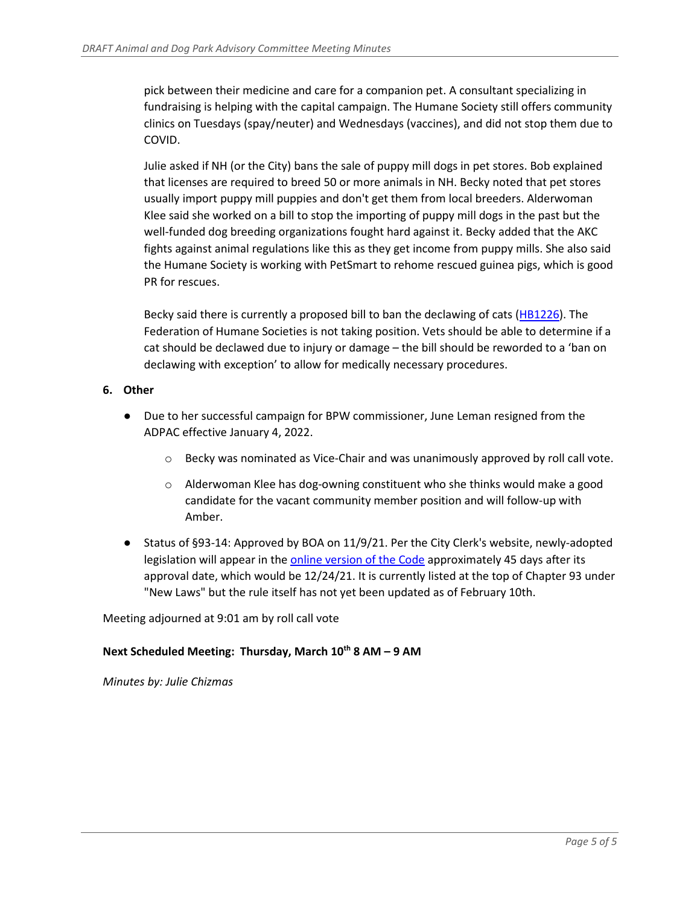pick between their medicine and care for a companion pet. A consultant specializing in fundraising is helping with the capital campaign. The Humane Society still offers community clinics on Tuesdays (spay/neuter) and Wednesdays (vaccines), and did not stop them due to COVID.

Julie asked if NH (or the City) bans the sale of puppy mill dogs in pet stores. Bob explained that licenses are required to breed 50 or more animals in NH. Becky noted that pet stores usually import puppy mill puppies and don't get them from local breeders. Alderwoman Klee said she worked on a bill to stop the importing of puppy mill dogs in the past but the well-funded dog breeding organizations fought hard against it. Becky added that the AKC fights against animal regulations like this as they get income from puppy mills. She also said the Humane Society is working with PetSmart to rehome rescued guinea pigs, which is good PR for rescues.

Becky said there is currently a proposed bill to ban the declawing of cats [\(HB1226\)](https://www.gencourt.state.nh.us/bill_status/results.aspx?adv=2&txtbillno=HB1226). The Federation of Humane Societies is not taking position. Vets should be able to determine if a cat should be declawed due to injury or damage – the bill should be reworded to a 'ban on declawing with exception' to allow for medically necessary procedures.

## **6. Other**

- Due to her successful campaign for BPW commissioner, June Leman resigned from the ADPAC effective January 4, 2022.
	- $\circ$  Becky was nominated as Vice-Chair and was unanimously approved by roll call vote.
	- o Alderwoman Klee has dog-owning constituent who she thinks would make a good candidate for the vacant community member position and will follow-up with Amber.
- Status of §93-14: Approved by BOA on 11/9/21. Per the City Clerk's website, newly-adopted legislation will appear in the [online version of the Code](https://ecode360.com/8729709) approximately 45 days after its approval date, which would be 12/24/21. It is currently listed at the top of Chapter 93 under "New Laws" but the rule itself has not yet been updated as of February 10th.

Meeting adjourned at 9:01 am by roll call vote

## **Next Scheduled Meeting: Thursday, March 10th 8 AM – 9 AM**

*Minutes by: Julie Chizmas*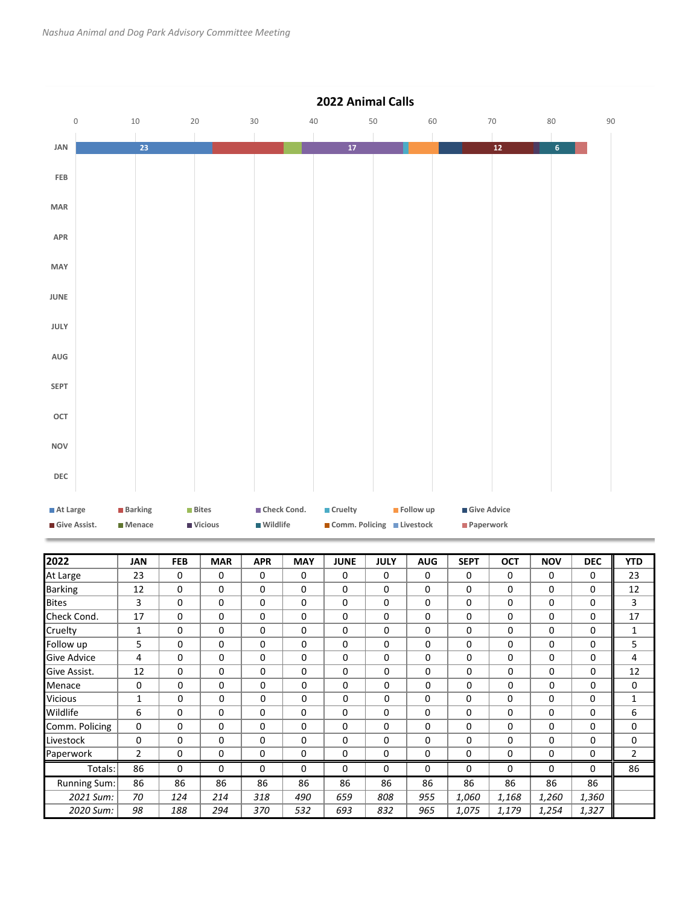

| 2022                | JAN            | <b>FEB</b> | <b>MAR</b> | <b>APR</b>  | <b>MAY</b> | <b>JUNE</b> | <b>JULY</b> | <b>AUG</b> | <b>SEPT</b> | <b>OCT</b> | <b>NOV</b> | <b>DEC</b> | <b>YTD</b>     |
|---------------------|----------------|------------|------------|-------------|------------|-------------|-------------|------------|-------------|------------|------------|------------|----------------|
| At Large            | 23             | 0          | 0          | 0           | 0          | $\mathbf 0$ | 0           | 0          | 0           | 0          | 0          | 0          | 23             |
| <b>Barking</b>      | 12             | 0          | $\Omega$   | 0           | $\Omega$   | 0           | 0           | 0          | 0           | 0          | 0          | 0          | 12             |
| <b>Bites</b>        | 3              | 0          | $\Omega$   | $\Omega$    | $\Omega$   | $\Omega$    | $\Omega$    | $\Omega$   | 0           | 0          | $\Omega$   | 0          | 3              |
| Check Cond.         | 17             | $\Omega$   | $\Omega$   | $\Omega$    | $\Omega$   | $\Omega$    | $\Omega$    | $\Omega$   | $\Omega$    | $\Omega$   | $\Omega$   | 0          | 17             |
| Cruelty             | 1              | 0          | $\Omega$   | $\Omega$    | $\Omega$   | $\Omega$    | 0           | $\Omega$   | $\Omega$    | $\Omega$   | $\Omega$   | 0          | 1              |
| Follow up           | 5              | 0          | $\Omega$   | $\mathbf 0$ | 0          | 0           | 0           | 0          | 0           | 0          | 0          | 0          | 5              |
| Give Advice         | 4              | 0          | 0          | 0           | 0          | 0           | 0           | 0          | 0           | 0          | 0          | 0          | 4              |
| Give Assist.        | 12             | 0          | 0          | 0           | 0          | 0           | 0           | 0          | 0           | 0          | 0          | 0          | 12             |
| Menace              | 0              | 0          | 0          | 0           | 0          | 0           | 0           | 0          | 0           | 0          | 0          | 0          | 0              |
| <b>Vicious</b>      | 1              | 0          | $\Omega$   | 0           | 0          | 0           | 0           | 0          | 0           | 0          | $\Omega$   | 0          | 1              |
| Wildlife            | 6              | 0          | $\Omega$   | $\Omega$    | $\Omega$   | $\Omega$    | $\Omega$    | $\Omega$   | $\Omega$    | $\Omega$   | $\Omega$   | 0          | 6              |
| Comm. Policing      | 0              | 0          | 0          | 0           | $\Omega$   | $\Omega$    | 0           | 0          | 0           | 0          | 0          | 0          | 0              |
| Livestock           | $\Omega$       | 0          | 0          | 0           | $\Omega$   | $\Omega$    | 0           | $\Omega$   | 0           | $\Omega$   | 0          | 0          | 0              |
| Paperwork           | $\overline{2}$ | 0          | 0          | 0           | 0          | 0           | 0           | 0          | 0           | 0          | 0          | 0          | $\overline{2}$ |
| Totals:             | 86             | 0          | 0          | 0           | $\Omega$   | $\Omega$    | 0           | 0          | 0           | 0          | 0          | 0          | 86             |
| <b>Running Sum:</b> | 86             | 86         | 86         | 86          | 86         | 86          | 86          | 86         | 86          | 86         | 86         | 86         |                |
| 2021 Sum:           | 70             | 124        | 214        | 318         | 490        | 659         | 808         | 955        | 1,060       | 1,168      | 1,260      | 1,360      |                |
| 2020 Sum:           | 98             | 188        | 294        | 370         | 532        | 693         | 832         | 965        | 1,075       | 1,179      | 1,254      | 1,327      |                |